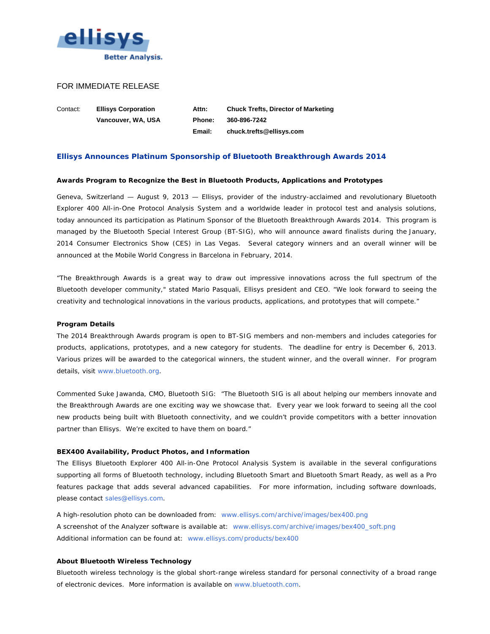

# FOR IMMEDIATE RELEASE

Contact: **Ellisys Corporation Attn: Chuck Trefts, Director of Marketing Vancouver, WA, USA Phone: 360-896-7242 Email: chuck.trefts@ellisys.com**

# **Ellisys Announces Platinum Sponsorship of Bluetooth Breakthrough Awards 2014**

#### **Awards Program to Recognize the Best in Bluetooth Products, Applications and Prototypes**

Geneva, Switzerland — August 9, 2013 — Ellisys, provider of the industry-acclaimed and revolutionary Bluetooth Explorer 400 All-in-One Protocol Analysis System and a worldwide leader in protocol test and analysis solutions, today announced its participation as Platinum Sponsor of the Bluetooth Breakthrough Awards 2014. This program is managed by the Bluetooth Special Interest Group (BT-SIG), who will announce award finalists during the January, 2014 Consumer Electronics Show (CES) in Las Vegas. Several category winners and an overall winner will be announced at the Mobile World Congress in Barcelona in February, 2014.

"The Breakthrough Awards is a great way to draw out impressive innovations across the full spectrum of the Bluetooth developer community," stated Mario Pasquali, Ellisys president and CEO. "We look forward to seeing the creativity and technological innovations in the various products, applications, and prototypes that will compete."

#### **Program Details**

The 2014 Breakthrough Awards program is open to BT-SIG members and non-members and includes categories for products, applications, prototypes, and a new category for students. The deadline for entry is December 6, 2013. Various prizes will be awarded to the categorical winners, the student winner, and the overall winner. For program details, visit [www.bluetooth.org.](http://www.bluetooth.org/)

Commented Suke Jawanda, CMO, Bluetooth SIG: "The Bluetooth SIG is all about helping our members innovate and the Breakthrough Awards are one exciting way we showcase that. Every year we look forward to seeing all the cool new products being built with Bluetooth connectivity, and we couldn't provide competitors with a better innovation partner than Ellisys. We're excited to have them on board."

#### **BEX400 Availability, Product Photos, and Information**

The Ellisys Bluetooth Explorer 400 All-in-One Protocol Analysis System is available in the several configurations supporting all forms of Bluetooth technology, including Bluetooth Smart and Bluetooth Smart Ready, as well as a Pro features package that adds several advanced capabilities. For more information, including software downloads, please contact [sales@ellisys.com.](mailto:sales@ellisys.com)

A high-resolution photo can be downloaded from: [www.ellisys.com/archive/images/bex400.png](http://www.ellisys.com/archive/images/bex400.png) A screenshot of the Analyzer software is available at: [www.ellisys.com/archive/images/bex400\\_soft.png](http://www.ellisys.com/archive/images/bex400_soft.png) Additional information can be found at: [www.ellisys.com/products/bex400](http://www.ellisys.com/products/bex400) 

## **About Bluetooth Wireless Technology**

Bluetooth wireless technology is the global short-range wireless standard for personal connectivity of a broad range of electronic devices. More information is available on [www.bluetooth.com.](http://www.bluetooth.org/)